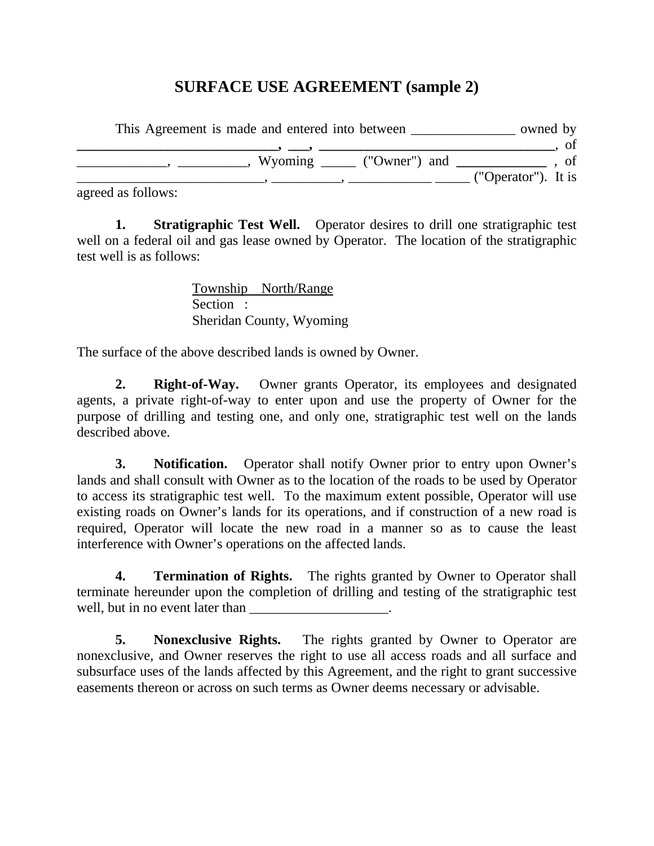## **SURFACE USE AGREEMENT (sample 2)**

| This Agreement is made and entered into between                                                                                                                                                                                                                                                                                                  | owned by            |
|--------------------------------------------------------------------------------------------------------------------------------------------------------------------------------------------------------------------------------------------------------------------------------------------------------------------------------------------------|---------------------|
| $\bullet$ and the contract of $\bullet$ and $\bullet$ and $\bullet$ and $\bullet$ and $\bullet$ and $\bullet$ and $\bullet$ and $\bullet$ and $\bullet$ and $\bullet$ and $\bullet$ and $\bullet$ and $\bullet$ and $\bullet$ and $\bullet$ and $\bullet$ and $\bullet$ and $\bullet$ and $\bullet$ and $\bullet$ and $\bullet$ and $\bullet$ an |                     |
| Wyoming ________ ("Owner") and                                                                                                                                                                                                                                                                                                                   | <sub>of</sub>       |
|                                                                                                                                                                                                                                                                                                                                                  | ("Operator"). It is |

agreed as follows:

**1. Stratigraphic Test Well.** Operator desires to drill one stratigraphic test well on a federal oil and gas lease owned by Operator. The location of the stratigraphic test well is as follows:

> Township North/Range Section : Sheridan County, Wyoming

The surface of the above described lands is owned by Owner.

**2. Right-of-Way.** Owner grants Operator, its employees and designated agents, a private right-of-way to enter upon and use the property of Owner for the purpose of drilling and testing one, and only one, stratigraphic test well on the lands described above.

**3. Notification.** Operator shall notify Owner prior to entry upon Owner's lands and shall consult with Owner as to the location of the roads to be used by Operator to access its stratigraphic test well. To the maximum extent possible, Operator will use existing roads on Owner's lands for its operations, and if construction of a new road is required, Operator will locate the new road in a manner so as to cause the least interference with Owner's operations on the affected lands.

**4. Termination of Rights.** The rights granted by Owner to Operator shall terminate hereunder upon the completion of drilling and testing of the stratigraphic test well, but in no event later than

**5. Nonexclusive Rights.** The rights granted by Owner to Operator are nonexclusive, and Owner reserves the right to use all access roads and all surface and subsurface uses of the lands affected by this Agreement, and the right to grant successive easements thereon or across on such terms as Owner deems necessary or advisable.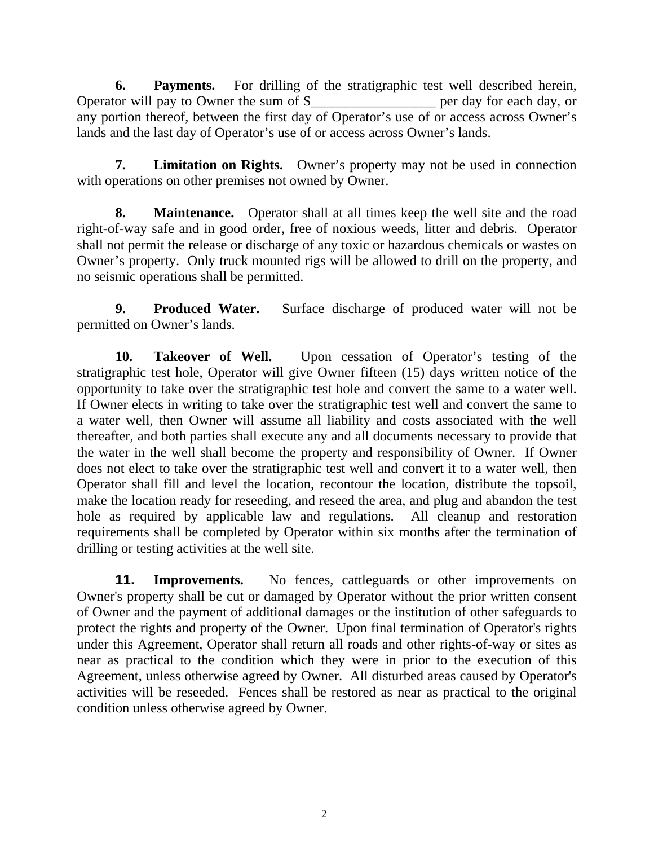**6. Payments.** For drilling of the stratigraphic test well described herein, Operator will pay to Owner the sum of \$\_\_\_\_\_\_\_\_\_\_\_\_\_\_\_\_\_\_ per day for each day, or any portion thereof, between the first day of Operator's use of or access across Owner's lands and the last day of Operator's use of or access across Owner's lands.

**7. Limitation on Rights.** Owner's property may not be used in connection with operations on other premises not owned by Owner.

**8. Maintenance.** Operator shall at all times keep the well site and the road right-of-way safe and in good order, free of noxious weeds, litter and debris. Operator shall not permit the release or discharge of any toxic or hazardous chemicals or wastes on Owner's property. Only truck mounted rigs will be allowed to drill on the property, and no seismic operations shall be permitted.

**9. Produced Water.** Surface discharge of produced water will not be permitted on Owner's lands.

**10. Takeover of Well.** Upon cessation of Operator's testing of the stratigraphic test hole, Operator will give Owner fifteen (15) days written notice of the opportunity to take over the stratigraphic test hole and convert the same to a water well. If Owner elects in writing to take over the stratigraphic test well and convert the same to a water well, then Owner will assume all liability and costs associated with the well thereafter, and both parties shall execute any and all documents necessary to provide that the water in the well shall become the property and responsibility of Owner. If Owner does not elect to take over the stratigraphic test well and convert it to a water well, then Operator shall fill and level the location, recontour the location, distribute the topsoil, make the location ready for reseeding, and reseed the area, and plug and abandon the test hole as required by applicable law and regulations. All cleanup and restoration requirements shall be completed by Operator within six months after the termination of drilling or testing activities at the well site.

**11. Improvements.** No fences, cattleguards or other improvements on Owner's property shall be cut or damaged by Operator without the prior written consent of Owner and the payment of additional damages or the institution of other safeguards to protect the rights and property of the Owner. Upon final termination of Operator's rights under this Agreement, Operator shall return all roads and other rights-of-way or sites as near as practical to the condition which they were in prior to the execution of this Agreement, unless otherwise agreed by Owner. All disturbed areas caused by Operator's activities will be reseeded. Fences shall be restored as near as practical to the original condition unless otherwise agreed by Owner.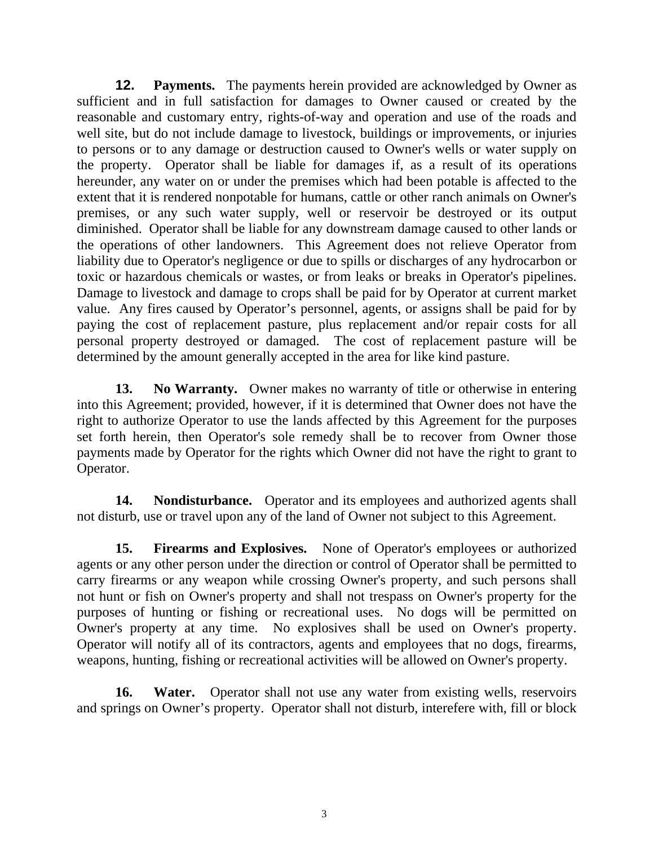**12. Payments.** The payments herein provided are acknowledged by Owner as sufficient and in full satisfaction for damages to Owner caused or created by the reasonable and customary entry, rights-of-way and operation and use of the roads and well site, but do not include damage to livestock, buildings or improvements, or injuries to persons or to any damage or destruction caused to Owner's wells or water supply on the property. Operator shall be liable for damages if, as a result of its operations hereunder, any water on or under the premises which had been potable is affected to the extent that it is rendered nonpotable for humans, cattle or other ranch animals on Owner's premises, or any such water supply, well or reservoir be destroyed or its output diminished. Operator shall be liable for any downstream damage caused to other lands or the operations of other landowners. This Agreement does not relieve Operator from liability due to Operator's negligence or due to spills or discharges of any hydrocarbon or toxic or hazardous chemicals or wastes, or from leaks or breaks in Operator's pipelines. Damage to livestock and damage to crops shall be paid for by Operator at current market value. Any fires caused by Operator's personnel, agents, or assigns shall be paid for by paying the cost of replacement pasture, plus replacement and/or repair costs for all personal property destroyed or damaged. The cost of replacement pasture will be determined by the amount generally accepted in the area for like kind pasture.

**13. No Warranty.** Owner makes no warranty of title or otherwise in entering into this Agreement; provided, however, if it is determined that Owner does not have the right to authorize Operator to use the lands affected by this Agreement for the purposes set forth herein, then Operator's sole remedy shall be to recover from Owner those payments made by Operator for the rights which Owner did not have the right to grant to Operator.

**14. Nondisturbance.** Operator and its employees and authorized agents shall not disturb, use or travel upon any of the land of Owner not subject to this Agreement.

**15. Firearms and Explosives.** None of Operator's employees or authorized agents or any other person under the direction or control of Operator shall be permitted to carry firearms or any weapon while crossing Owner's property, and such persons shall not hunt or fish on Owner's property and shall not trespass on Owner's property for the purposes of hunting or fishing or recreational uses. No dogs will be permitted on Owner's property at any time. No explosives shall be used on Owner's property. Operator will notify all of its contractors, agents and employees that no dogs, firearms, weapons, hunting, fishing or recreational activities will be allowed on Owner's property.

**16. Water.** Operator shall not use any water from existing wells, reservoirs and springs on Owner's property. Operator shall not disturb, interefere with, fill or block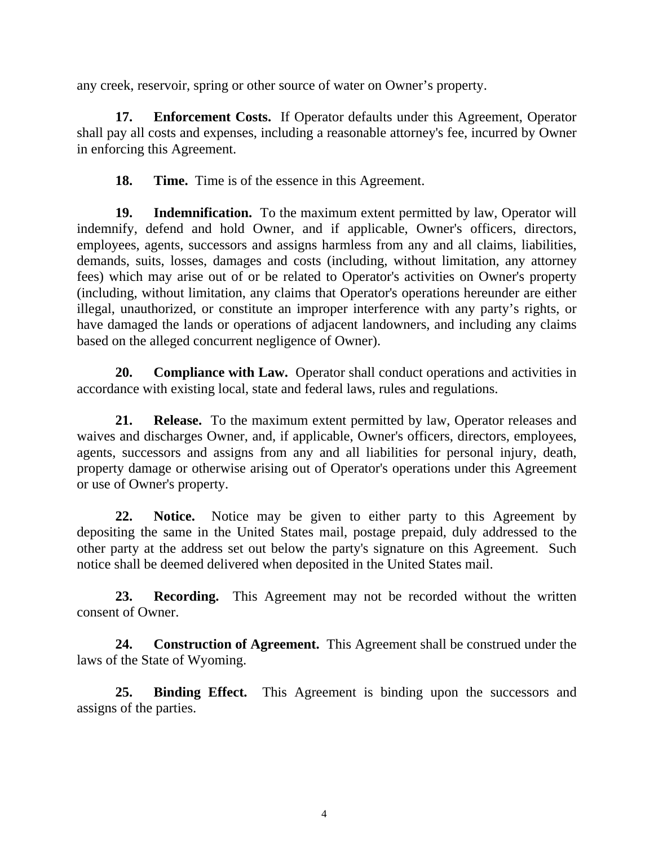any creek, reservoir, spring or other source of water on Owner's property.

**17. Enforcement Costs.** If Operator defaults under this Agreement, Operator shall pay all costs and expenses, including a reasonable attorney's fee, incurred by Owner in enforcing this Agreement.

**18.** Time. Time is of the essence in this Agreement.

**19. Indemnification.** To the maximum extent permitted by law, Operator will indemnify, defend and hold Owner, and if applicable, Owner's officers, directors, employees, agents, successors and assigns harmless from any and all claims, liabilities, demands, suits, losses, damages and costs (including, without limitation, any attorney fees) which may arise out of or be related to Operator's activities on Owner's property (including, without limitation, any claims that Operator's operations hereunder are either illegal, unauthorized, or constitute an improper interference with any party's rights, or have damaged the lands or operations of adjacent landowners, and including any claims based on the alleged concurrent negligence of Owner).

**20. Compliance with Law.** Operator shall conduct operations and activities in accordance with existing local, state and federal laws, rules and regulations.

**21. Release.** To the maximum extent permitted by law, Operator releases and waives and discharges Owner, and, if applicable, Owner's officers, directors, employees, agents, successors and assigns from any and all liabilities for personal injury, death, property damage or otherwise arising out of Operator's operations under this Agreement or use of Owner's property.

**22. Notice.** Notice may be given to either party to this Agreement by depositing the same in the United States mail, postage prepaid, duly addressed to the other party at the address set out below the party's signature on this Agreement. Such notice shall be deemed delivered when deposited in the United States mail.

**23. Recording.** This Agreement may not be recorded without the written consent of Owner.

**24. Construction of Agreement.** This Agreement shall be construed under the laws of the State of Wyoming.

**25. Binding Effect.** This Agreement is binding upon the successors and assigns of the parties.